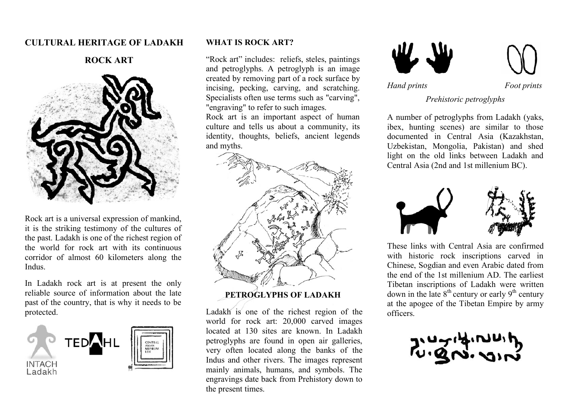# **CULTURAL HERITAGE OF LADAKH**





Rock art is a universal expression of mankind, it is the striking testimony of the cultures of the past. Ladakh is one of the richest region of the world for rock art with its continuous corridor of almost 60 kilometers along the Indus.

In Ladakh rock art is at present the only reliable source of information about the late past of the country, that is why it needs to be protected.



#### **WHAT IS ROCK ART?**

"Rock art" includes: reliefs, steles, paintings and petroglyphs. A petroglyph is an image created by removing part of a rock surface by incising, pecking, carving, and scratching. Specialists often use terms such as "carving", "engraving" to refer to such images.

Rock art is an important aspect of human culture and tells us about a community, its identity, thoughts, beliefs, ancient legends and myths.



## **PETROGLYPHS OF LADAKH**

Ladakh is one of the richest region of the world for rock art: 20,000 carved images located at 130 sites are known. In Ladakh petroglyphs are found in open air galleries, very often located along the banks of the Indus and other rivers. The images represent mainly animals, humans, and symbols. The engravings date back from Prehistory down to the present times.



*Hand prints Foot prints*

*Prehistoric petroglyphs*

A number of petroglyphs from Ladakh (yaks, ibex, hunting scenes) are similar to those documented in Central Asia (Kazakhstan, Uzbekistan, Mongolia, Pakistan) and shed light on the old links between Ladakh and Central Asia (2nd and 1st millenium BC).



 These links with Central Asia are confirmed with historic rock inscriptions carved in Chinese, Sogdian and even Arabic dated from the end of the 1st millenium AD. The earliest Tibetan inscriptions of Ladakh were written down in the late  $8<sup>th</sup>$  century or early  $9<sup>th</sup>$  century at the apogee of the Tibetan Empire by army officers.

הישראיתיתות